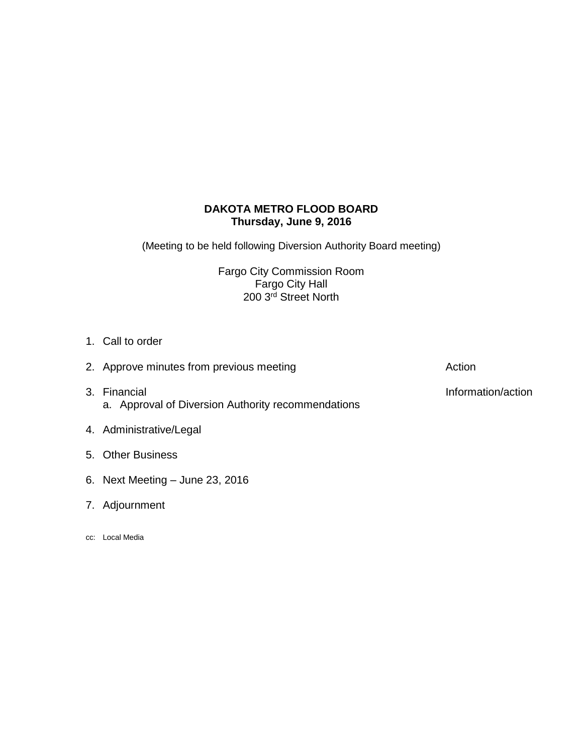# **DAKOTA METRO FLOOD BOARD Thursday, June 9, 2016**

(Meeting to be held following Diversion Authority Board meeting)

Fargo City Commission Room Fargo City Hall 200 3rd Street North

1. Call to order

| 2. Approve minutes from previous meeting                           | Action             |
|--------------------------------------------------------------------|--------------------|
| 3. Financial<br>a. Approval of Diversion Authority recommendations | Information/action |

- 4. Administrative/Legal
- 5. Other Business
- 6. Next Meeting June 23, 2016
- 7. Adjournment
- cc: Local Media